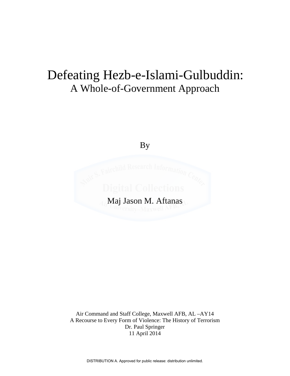# Defeating Hezb-e-Islami-Gulbuddin: A Whole-of-Government Approach

By



Air Command and Staff College, Maxwell AFB, AL –AY14 A Recourse to Every Form of Violence: The History of Terrorism Dr. Paul Springer 11 April 2014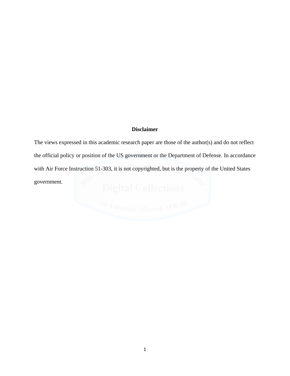### **Disclaimer**

The views expressed in this academic research paper are those of the author(s) and do not reflect the official policy or position of the US government or the Department of Defense. In accordance with Air Force Instruction 51-303, it is not copyrighted, but is the property of the United States government.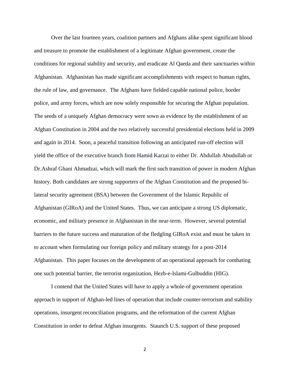Over the last fourteen years, coalition partners and Afghans alike spent significant blood and treasure to promote the establishment of a legitimate Afghan government, create the conditions for regional stability and security, and eradicate Al Qaeda and their sanctuaries within Afghanistan. Afghanistan has made significant accomplishments with respect to human rights, the rule of law, and governance. The Afghans have fielded capable national police, border police, and army forces, which are now solely responsible for securing the Afghan population. The seeds of a uniquely Afghan democracy were sown as evidence by the establishment of an Afghan Constitution in 2004 and the two relatively successful presidential elections held in 2009 and again in 2014. Soon, a peaceful transition following an anticipated run-off election will yield the office of the executive branch from Hamid Karzai to either Dr. Abdullah Abudullah or Dr.Ashraf Ghani Ahmadzai, which will mark the first such transition of power in modern Afghan history. Both candidates are strong supporters of the Afghan Constitution and the proposed bilateral security agreement (BSA) between the Government of the Islamic Republic of Afghanistan (GIRoA) and the United States. Thus, we can anticipate a strong US diplomatic, economic, and military presence in Afghanistan in the near-term. However, several potential barriers to the future success and maturation of the fledgling GIRoA exist and must be taken in to account when formulating our foreign policy and military strategy for a post-2014 Afghanistan. This paper focuses on the development of an operational approach for combating one such potential barrier, the terrorist organization, Hezb-e-Islami-Gulbuddin (HIG).

 I contend that the United States will have to apply a whole-of government operation approach in support of Afghan-led lines of operation that include counter-terrorism and stability operations, insurgent reconciliation programs, and the reformation of the current Afghan Constitution in order to defeat Afghan insurgents. Staunch U.S. support of these proposed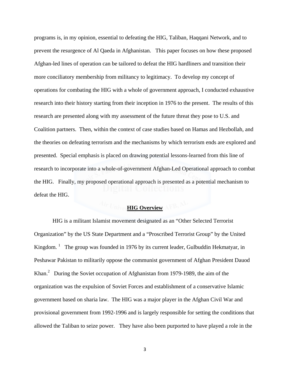programs is, in my opinion, essential to defeating the HIG, Taliban, Haqqani Network, and to prevent the resurgence of Al Qaeda in Afghanistan. This paper focuses on how these proposed Afghan-led lines of operation can be tailored to defeat the HIG hardliners and transition their more conciliatory membership from militancy to legitimacy. To develop my concept of operations for combating the HIG with a whole of government approach, I conducted exhaustive research into their history starting from their inception in 1976 to the present. The results of this research are presented along with my assessment of the future threat they pose to U.S. and Coalition partners. Then, within the context of case studies based on Hamas and Hezbollah, and the theories on defeating terrorism and the mechanisms by which terrorism ends are explored and presented. Special emphasis is placed on drawing potential lessons-learned from this line of research to incorporate into a whole-of-government Afghan-Led Operational approach to combat the HIG. Finally, my proposed operational approach is presented as a potential mechanism to defeat the HIG.

## *Air UniverHIG Overview* AFB,

 HIG is a militant Islamist movement designated as an "Other Selected Terrorist Organization" by the US State Department and a "Proscribed Terrorist Group" by the United Kingdom.  $\frac{1}{1}$  The group was founded in 1976 by its current leader, Gulbuddin Hekmatyar, in Peshawar Pakistan to militarily oppose the communist government of Afghan President Dauod Khan. $^2$  During the Soviet occupation of Afghanistan from 1979-1989, the aim of the organization was the expulsion of Soviet Forces and establishment of a conservative Islamic government based on sharia law. The HIG was a major player in the Afghan Civil War and provisional government from 1992-1996 and is largely responsible for setting the conditions that allowed the Taliban to seize power. They have also been purported to have played a role in the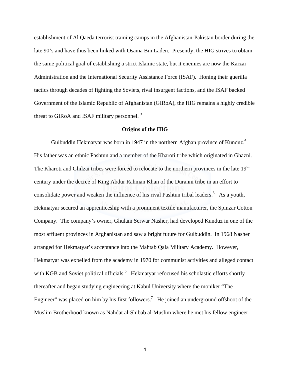establishment of Al Qaeda terrorist training camps in the Afghanistan-Pakistan border during the late 90's and have thus been linked with Osama Bin Laden. Presently, the HIG strives to obtain the same political goal of establishing a strict Islamic state, but it enemies are now the Karzai Administration and the International Security Assistance Force (ISAF). Honing their guerilla tactics through decades of fighting the Soviets, rival insurgent factions, and the ISAF backed Government of the Islamic Republic of Afghanistan (GIRoA), the HIG remains a highly credible threat to GIRoA and ISAF military personnel. 3

#### **Origins of the HIG**

Gulbuddin Hekmatyar was born in 1947 in the northern Afghan province of Kunduz.<sup>4</sup> His father was an ethnic Pashtun and a member of the Kharoti tribe which originated in Ghazni. The Kharoti and Ghilzai tribes were forced to relocate to the northern provinces in the late 19<sup>th</sup> century under the decree of King Abdur Rahman Khan of the Duranni tribe in an effort to consolidate power and weaken the influence of his rival Pashtun tribal leaders.<sup>5</sup> As a youth, Hekmatyar secured an apprenticeship with a prominent textile manufacturer, the Spinzar Cotton Company. The company's owner, Ghulam Serwar Nasher, had developed Kunduz in one of the most affluent provinces in Afghanistan and saw a bright future for Gulbuddin. In 1968 Nasher arranged for Hekmatyar's acceptance into the Mahtab Qala Military Academy. However, Hekmatyar was expelled from the academy in 1970 for communist activities and alleged contact with KGB and Soviet political officials.<sup>6</sup> Hekmatyar refocused his scholastic efforts shortly thereafter and began studying engineering at Kabul University where the moniker "The Engineer" was placed on him by his first followers.<sup>7</sup> He joined an underground offshoot of the Muslim Brotherhood known as Nahdat al-Shibab al-Muslim where he met his fellow engineer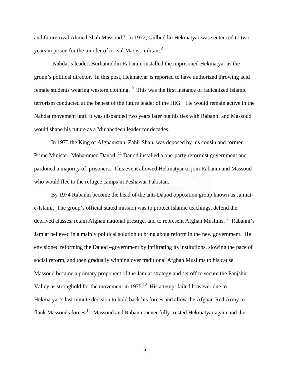and future rival Ahmed Shah Massoud. $8\,$  In 1972, Gulbuddin Hekmatyar was sentenced to two years in prison for the murder of a rival Maoist militant.<sup>9</sup>

 Nahdat's leader, Burhanuddin Rabanni, installed the imprisoned Hekmatyar as the group's political director. In this post, Hekmatyar is reported to have authorized throwing acid female students wearing western clothing.<sup>10</sup> This was the first instance of radicalized Islamic terrorism conducted at the behest of the future leader of the HIG. He would remain active in the Nahdat movement until it was disbanded two years later but his ties with Rabanni and Massoud would shape his future as a Mujahedeen leader for decades.

In 1973 the King of Afghanistan, Zahir Shah, was deposed by his cousin and former Prime Minister, Mohammed Dauod. 11 Dauod installed a one-party reformist government and pardoned a majority of prisoners. This event allowed Hekmatyar to join Rabanni and Massoud who would flee to the refugee camps in Peshawar Pakistan.

By 1974 Rabanni become the head of the anti-Dauod opposition group known as Jamiate-Islami. The group's official stated mission was to protect Islamic teachings, defend the deprived classes, retain Afghan national prestige, and to represent Afghan Muslims.<sup>12</sup> Rabanni's Jamiat believed in a mainly political solution to bring about reform in the new government. He envisioned reforming the Dauod –government by infiltrating its institutions, slowing the pace of social reform, and then gradually winning over traditional Afghan Muslims to his cause. Massoud became a primary proponent of the Jamiat strategy and set off to secure the Panjshir Valley as stronghold for the movement in 1975.<sup>13</sup> His attempt failed however due to Hekmatyar's last minute decision to hold back his forces and allow the Afghan Red Army to flank Massouds forces.14 Massoud and Rabanni never fully trusted Hekmatyar again and the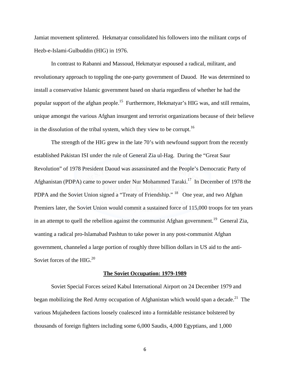Jamiat movement splintered. Hekmatyar consolidated his followers into the militant corps of Hezb-e-Islami-Gulbuddin (HIG) in 1976.

In contrast to Rabanni and Massoud, Hekmatyar espoused a radical, militant, and revolutionary approach to toppling the one-party government of Dauod. He was determined to install a conservative Islamic government based on sharia regardless of whether he had the popular support of the afghan people.<sup>15</sup> Furthermore, Hekmatyar's HIG was, and still remains, unique amongst the various Afghan insurgent and terrorist organizations because of their believe in the dissolution of the tribal system, which they view to be corrupt.<sup>16</sup>

The strength of the HIG grew in the late 70's with newfound support from the recently established Pakistan ISI under the rule of General Zia ul-Hag. During the "Great Saur Revolution" of 1978 President Daoud was assassinated and the People's Democratic Party of Afghanistan (PDPA) came to power under Nur Mohammed Taraki.<sup>17</sup> In December of 1978 the PDPA and the Soviet Union signed a "Treaty of Friendship." <sup>18</sup> One year, and two Afghan Premiers later, the Soviet Union would commit a sustained force of 115,000 troops for ten years in an attempt to quell the rebellion against the communist Afghan government.<sup>19</sup> General Zia, wanting a radical pro-Islamabad Pashtun to take power in any post-communist Afghan government, channeled a large portion of roughly three billion dollars in US aid to the anti-Soviet forces of the HIG.<sup>20</sup>

#### **The Soviet Occupation: 1979-1989**

 Soviet Special Forces seized Kabul International Airport on 24 December 1979 and began mobilizing the Red Army occupation of Afghanistan which would span a decade.<sup>21</sup> The various Mujahedeen factions loosely coalesced into a formidable resistance bolstered by thousands of foreign fighters including some 6,000 Saudis, 4,000 Egyptians, and 1,000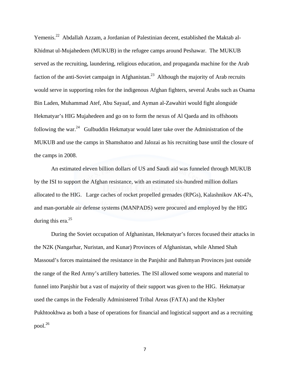Yemenis.<sup>22</sup> Abdallah Azzam, a Jordanian of Palestinian decent, established the Maktab al-Khidmat ul-Mujahedeen (MUKUB) in the refugee camps around Peshawar. The MUKUB served as the recruiting, laundering, religious education, and propaganda machine for the Arab faction of the anti-Soviet campaign in Afghanistan.<sup>23</sup> Although the majority of Arab recruits would serve in supporting roles for the indigenous Afghan fighters, several Arabs such as Osama Bin Laden, Muhammad Atef, Abu Sayaaf, and Ayman al-Zawahiri would fight alongside Hekmatyar's HIG Mujahedeen and go on to form the nexus of Al Qaeda and its offshoots following the war.<sup>24</sup> Gulbuddin Hekmatyar would later take over the Administration of the MUKUB and use the camps in Shamshatoo and Jalozai as his recruiting base until the closure of the camps in 2008.

 An estimated eleven billion dollars of US and Saudi aid was funneled through MUKUB by the ISI to support the Afghan resistance, with an estimated six-hundred million dollars allocated to the HIG. Large caches of rocket propelled grenades (RPGs), Kalashnikov AK-47s, and man-portable air defense systems (MANPADS) were procured and employed by the HIG during this era. $^{25}$ 

 During the Soviet occupation of Afghanistan, Hekmatyar's forces focused their attacks in the N2K (Nangarhar, Nuristan, and Kunar) Provinces of Afghanistan, while Ahmed Shah Massoud's forces maintained the resistance in the Panjshir and Bahmyan Provinces just outside the range of the Red Army's artillery batteries. The ISI allowed some weapons and material to funnel into Panjshir but a vast of majority of their support was given to the HIG. Hekmatyar used the camps in the Federally Administered Tribal Areas (FATA) and the Khyber Pukhtookhwa as both a base of operations for financial and logistical support and as a recruiting pool. $^{26}$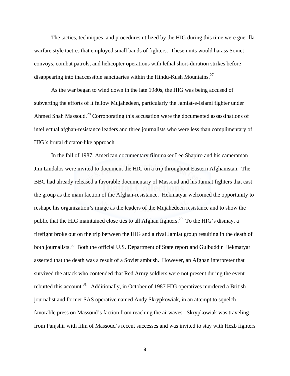The tactics, techniques, and procedures utilized by the HIG during this time were guerilla warfare style tactics that employed small bands of fighters. These units would harass Soviet convoys, combat patrols, and helicopter operations with lethal short-duration strikes before disappearing into inaccessible sanctuaries within the Hindu-Kush Mountains.27

 As the war began to wind down in the late 1980s, the HIG was being accused of subverting the efforts of it fellow Mujahedeen, particularly the Jamiat-e-Islami fighter under Ahmed Shah Massoud.<sup>28</sup> Corroborating this accusation were the documented assassinations of intellectual afghan-resistance leaders and three journalists who were less than complimentary of HIG's brutal dictator-like approach.

 In the fall of 1987, American documentary filmmaker Lee Shapiro and his cameraman Jim Lindalos were invited to document the HIG on a trip throughout Eastern Afghanistan. The BBC had already released a favorable documentary of Massoud and his Jamiat fighters that cast the group as the main faction of the Afghan-resistance. Hekmatyar welcomed the opportunity to reshape his organization's image as the leaders of the Mujahedeen resistance and to show the public that the HIG maintained close ties to all Afghan fighters.<sup>29</sup> To the HIG's dismay, a firefight broke out on the trip between the HIG and a rival Jamiat group resulting in the death of both journalists.<sup>30</sup> Both the official U.S. Department of State report and Gulbuddin Hekmatyar asserted that the death was a result of a Soviet ambush. However, an Afghan interpreter that survived the attack who contended that Red Army soldiers were not present during the event rebutted this account.<sup>31</sup> Additionally, in October of 1987 HIG operatives murdered a British journalist and former SAS operative named Andy Skrypkowiak, in an attempt to squelch favorable press on Massoud's faction from reaching the airwaves. Skrypkowiak was traveling from Panjshir with film of Massoud's recent successes and was invited to stay with Hezb fighters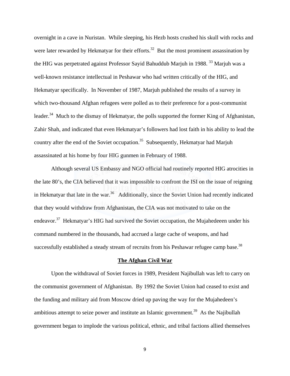overnight in a cave in Nuristan. While sleeping, his Hezb hosts crushed his skull with rocks and were later rewarded by Hekmatyar for their efforts.<sup>32</sup> But the most prominent assassination by the HIG was perpetrated against Professor Sayid Bahuddub Marjuh in 1988.<sup>33</sup> Marjuh was a well-known resistance intellectual in Peshawar who had written critically of the HIG, and Hekmatyar specifically. In November of 1987, Marjuh published the results of a survey in which two-thousand Afghan refugees were polled as to their preference for a post-communist leader.<sup>34</sup> Much to the dismay of Hekmatyar, the polls supported the former King of Afghanistan, Zahir Shah, and indicated that even Hekmatyar's followers had lost faith in his ability to lead the country after the end of the Soviet occupation.<sup>35</sup> Subsequently, Hekmatyar had Marjuh assassinated at his home by four HIG gunmen in February of 1988.

Although several US Embassy and NGO official had routinely reported HIG atrocities in the late 80's, the CIA believed that it was impossible to confront the ISI on the issue of reigning in Hekmatyar that late in the war.<sup>36</sup> Additionally, since the Soviet Union had recently indicated that they would withdraw from Afghanistan, the CIA was not motivated to take on the endeavor.<sup>37</sup> Hekmatyar's HIG had survived the Soviet occupation, the Mujahedeeen under his command numbered in the thousands, had accrued a large cache of weapons, and had successfully established a steady stream of recruits from his Peshawar refugee camp base.<sup>38</sup>

#### **The Afghan Civil War**

 Upon the withdrawal of Soviet forces in 1989, President Najibullah was left to carry on the communist government of Afghanistan. By 1992 the Soviet Union had ceased to exist and the funding and military aid from Moscow dried up paving the way for the Mujahedeen's ambitious attempt to seize power and institute an Islamic government.<sup>39</sup> As the Najibullah government began to implode the various political, ethnic, and tribal factions allied themselves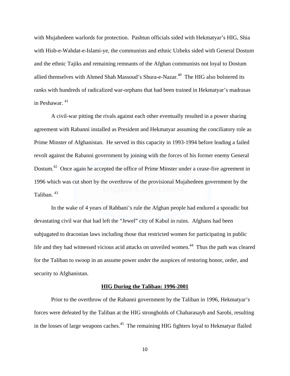with Mujahedeen warlords for protection. Pashtun officials sided with Hekmatyar's HIG, Shia with Hisb-e-Wahdat-e-Islami-ye, the communists and ethnic Uzbeks sided with General Dostum and the ethnic Tajiks and remaining remnants of the Afghan communists not loyal to Dostum allied themselves with Ahmed Shah Massoud's Shura-e-Nazar.<sup>40</sup> The HIG also bolstered its ranks with hundreds of radicalized war-orphans that had been trained in Hekmatyar's madrasas in Peshawar. 41

A civil-war pitting the rivals against each other eventually resulted in a power sharing agreement with Rabanni installed as President and Hekmatyar assuming the conciliatory role as Prime Minster of Afghanistan. He served in this capacity in 1993-1994 before leading a failed revolt against the Rabanni government by joining with the forces of his former enemy General Dostum.<sup>42</sup> Once again he accepted the office of Prime Minster under a cease-fire agreement in 1996 which was cut short by the overthrow of the provisional Mujahedeen government by the Taliban. 43

In the wake of 4 years of Rabbani's rule the Afghan people had endured a sporadic but devastating civil war that had left the "Jewel" city of Kabul in ruins. Afghans had been subjugated to draconian laws including those that restricted women for participating in public life and they had witnessed vicious acid attacks on unveiled women.<sup>44</sup> Thus the path was cleared for the Taliban to swoop in an assume power under the auspices of restoring honor, order, and security to Afghanistan.

#### **HIG During the Taliban: 1996-2001**

 Prior to the overthrow of the Rabanni government by the Taliban in 1996, Hekmatyar's forces were defeated by the Taliban at the HIG strongholds of Chaharasayb and Sarobi, resulting in the losses of large weapons caches.<sup>45</sup> The remaining HIG fighters loyal to Hekmatyar flailed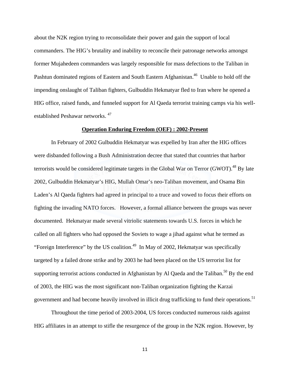about the N2K region trying to reconsolidate their power and gain the support of local commanders. The HIG's brutality and inability to reconcile their patronage networks amongst former Mujahedeen commanders was largely responsible for mass defections to the Taliban in Pashtun dominated regions of Eastern and South Eastern Afghanistan.<sup>46</sup> Unable to hold off the impending onslaught of Taliban fighters, Gulbuddin Hekmatyar fled to Iran where he opened a HIG office, raised funds, and funneled support for Al Qaeda terrorist training camps via his wellestablished Peshawar networks. 47

#### **Operation Enduring Freedom (OEF) : 2002-Present**

 In February of 2002 Gulbuddin Hekmatyar was expelled by Iran after the HIG offices were disbanded following a Bush Administration decree that stated that countries that harbor terrorists would be considered legitimate targets in the Global War on Terror (GWOT).<sup>48</sup> By late 2002, Gulbuddin Hekmatyar's HIG, Mullah Omar's neo-Taliban movement, and Osama Bin Laden's Al Qaeda fighters had agreed in principal to a truce and vowed to focus their efforts on fighting the invading NATO forces. However, a formal alliance between the groups was never documented. Hekmatyar made several vitriolic statements towards U.S. forces in which he called on all fighters who had opposed the Soviets to wage a jihad against what he termed as "Foreign Interference" by the US coalition.<sup>49</sup> In May of 2002, Hekmatyar was specifically targeted by a failed drone strike and by 2003 he had been placed on the US terrorist list for supporting terrorist actions conducted in Afghanistan by Al Qaeda and the Taliban.<sup>50</sup> By the end of 2003, the HIG was the most significant non-Taliban organization fighting the Karzai government and had become heavily involved in illicit drug trafficking to fund their operations.<sup>51</sup>

 Throughout the time period of 2003-2004, US forces conducted numerous raids against HIG affiliates in an attempt to stifle the resurgence of the group in the N2K region. However, by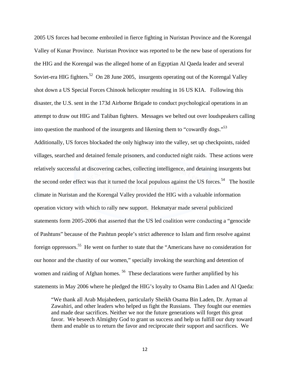2005 US forces had become embroiled in fierce fighting in Nuristan Province and the Korengal Valley of Kunar Province. Nuristan Province was reported to be the new base of operations for the HIG and the Korengal was the alleged home of an Egyptian Al Qaeda leader and several Soviet-era HIG fighters.<sup>52</sup> On 28 June 2005, insurgents operating out of the Korengal Valley shot down a US Special Forces Chinook helicopter resulting in 16 US KIA. Following this disaster, the U.S. sent in the 173d Airborne Brigade to conduct psychological operations in an attempt to draw out HIG and Taliban fighters. Messages we belted out over loudspeakers calling into question the manhood of the insurgents and likening them to "cowardly dogs."<sup>53</sup> Additionally, US forces blockaded the only highway into the valley, set up checkpoints, raided villages, searched and detained female prisoners, and conducted night raids. These actions were relatively successful at discovering caches, collecting intelligence, and detaining insurgents but the second order effect was that it turned the local populous against the US forces.<sup>54</sup> The hostile climate in Nuristan and the Korengal Valley provided the HIG with a valuable information operation victory with which to rally new support. Hekmatyar made several publicized statements form 2005-2006 that asserted that the US led coalition were conducting a "genocide of Pashtuns" because of the Pashtun people's strict adherence to Islam and firm resolve against foreign oppressors.55 He went on further to state that the "Americans have no consideration for our honor and the chastity of our women," specially invoking the searching and detention of women and raiding of Afghan homes.<sup>56</sup> These declarations were further amplified by his statements in May 2006 where he pledged the HIG's loyalty to Osama Bin Laden and Al Qaeda:

"We thank all Arab Mujahedeen, particularly Sheikh Osama Bin Laden, Dr. Ayman al Zawahiri, and other leaders who helped us fight the Russians. They fought our enemies and made dear sacrifices. Neither we nor the future generations will forget this great favor. We beseech Almighty God to grant us success and help us fulfill our duty toward them and enable us to return the favor and reciprocate their support and sacrifices. We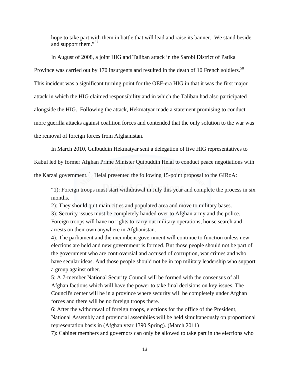hope to take part with them in battle that will lead and raise its banner. We stand beside and support them."<sup>57</sup>

In August of 2008, a joint HIG and Taliban attack in the Sarobi District of Patika Province was carried out by 170 insurgents and resulted in the death of 10 French soldiers.<sup>58</sup> This incident was a significant turning point for the OEF-era HIG in that it was the first major attack in which the HIG claimed responsibility and in which the Taliban had also participated alongside the HIG. Following the attack, Hekmatyar made a statement promising to conduct more guerilla attacks against coalition forces and contended that the only solution to the war was the removal of foreign forces from Afghanistan.

In March 2010, Gulbuddin Hekmatyar sent a delegation of five HIG representatives to

Kabul led by former Afghan Prime Minister Qutbuddin Helal to conduct peace negotiations with the Karzai government.<sup>59</sup> Helal presented the following 15-point proposal to the GIRoA:

"1): Foreign troops must start withdrawal in July this year and complete the process in six months.

2): They should quit main cities and populated area and move to military bases.

3): Security issues must be completely handed over to Afghan army and the police. Foreign troops will have no rights to carry out military operations, house search and arrests on their own anywhere in Afghanistan.

4): The parliament and the incumbent government will continue to function unless new elections are held and new government is formed. But those people should not be part of the government who are controversial and accused of corruption, war crimes and who have secular ideas. And those people should not be in top military leadership who support a group against other.

5: A 7-member National Security Council will be formed with the consensus of all Afghan factions which will have the power to take final decisions on key issues. The Council's center will be in a province where security will be completely under Afghan forces and there will be no foreign troops there.

6: After the withdrawal of foreign troops, elections for the office of the President, National Assembly and provincial assemblies will be held simultaneously on proportional representation basis in (Afghan year 1390 Spring). (March 2011)

7): Cabinet members and governors can only be allowed to take part in the elections who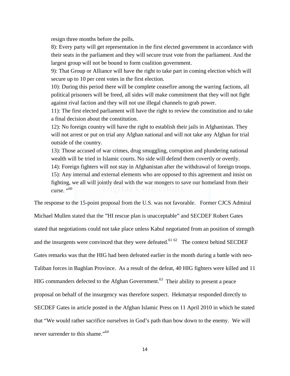resign three months before the polls.

8): Every party will get representation in the first elected government in accordance with their seats in the parliament and they will secure trust vote from the parliament. And the largest group will not be bound to form coalition government.

9): That Group or Alliance will have the right to take part in coming election which will secure up to 10 per cent votes in the first election.

10): During this period there will be complete ceasefire among the warring factions, all political prisoners will be freed, all sides will make commitment that they will not fight against rival faction and they will not use illegal channels to grab power.

11): The first elected parliament will have the right to review the constitution and to take a final decision about the constitution.

12): No foreign country will have the right to establish their jails in Afghanistan. They will not arrest or put on trial any Afghan national and will not take any Afghan for trial outside of the country.

13): Those accused of war crimes, drug smuggling, corruption and plundering national wealth will be tried in Islamic courts. No side will defend them covertly or overtly.

14): Foreign fighters will not stay in Afghanistan after the withdrawal of foreign troops. 15): Any internal and external elements who are opposed to this agreement and insist on fighting, we all will jointly deal with the war mongers to save our homeland from their curse.  $\cdot$ <sup>60</sup>

The response to the 15-point proposal from the U.S. was not favorable. Former CJCS Admiral

Michael Mullen stated that the "HI rescue plan is unacceptable" and SECDEF Robert Gates stated that negotiations could not take place unless Kabul negotiated from an position of strength and the insurgents were convinced that they were defeated.<sup>61 62</sup> The context behind SECDEF Gates remarks was that the HIG had been defeated earlier in the month during a battle with neo-Taliban forces in Baghlan Province. As a result of the defeat, 40 HIG fighters were killed and 11 HIG commanders defected to the Afghan Government.<sup>63</sup> Their ability to present a peace proposal on behalf of the insurgency was therefore suspect. Hekmatyar responded directly to SECDEF Gates in article posted in the Afghan Islamic Press on 11 April 2010 in which he stated that "We would rather sacrifice ourselves in God's path than bow down to the enemy. We will never surrender to this shame."<sup>64</sup>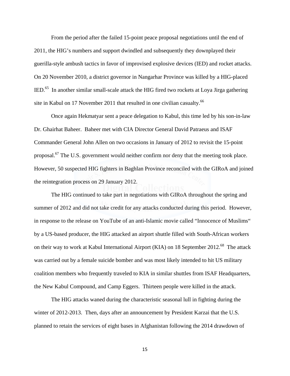From the period after the failed 15-point peace proposal negotiations until the end of 2011, the HIG's numbers and support dwindled and subsequently they downplayed their guerilla-style ambush tactics in favor of improvised explosive devices (IED) and rocket attacks. On 20 November 2010, a district governor in Nangarhar Province was killed by a HIG-placed IED.65 In another similar small-scale attack the HIG fired two rockets at Loya Jirga gathering site in Kabul on 17 November 2011 that resulted in one civilian casualty.<sup>66</sup>

Once again Hekmatyar sent a peace delegation to Kabul, this time led by his son-in-law Dr. Ghairhat Baheer. Baheer met with CIA Director General David Patraeus and ISAF Commander General John Allen on two occasions in January of 2012 to revisit the 15-point proposal.<sup>67</sup> The U.S. government would neither confirm nor deny that the meeting took place. However, 50 suspected HIG fighters in Baghlan Province reconciled with the GIRoA and joined the reintegration process on 29 January 2012.

The HIG continued to take part in negotiations with GIRoA throughout the spring and summer of 2012 and did not take credit for any attacks conducted during this period. However, in response to the release on YouTube of an anti-Islamic movie called "Innocence of Muslims" by a US-based producer, the HIG attacked an airport shuttle filled with South-African workers on their way to work at Kabul International Airport (KIA) on 18 September 2012.<sup>68</sup> The attack was carried out by a female suicide bomber and was most likely intended to hit US military coalition members who frequently traveled to KIA in similar shuttles from ISAF Headquarters, the New Kabul Compound, and Camp Eggers. Thirteen people were killed in the attack.

The HIG attacks waned during the characteristic seasonal lull in fighting during the winter of 2012-2013. Then, days after an announcement by President Karzai that the U.S. planned to retain the services of eight bases in Afghanistan following the 2014 drawdown of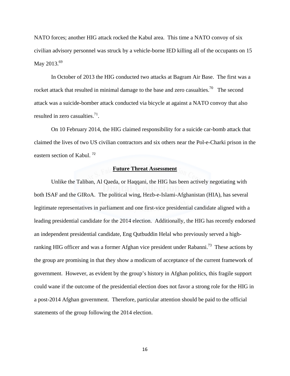NATO forces; another HIG attack rocked the Kabul area. This time a NATO convoy of six civilian advisory personnel was struck by a vehicle-borne IED killing all of the occupants on 15 May 2013.<sup>69</sup>

In October of 2013 the HIG conducted two attacks at Bagram Air Base. The first was a rocket attack that resulted in minimal damage to the base and zero casualties.<sup>70</sup> The second attack was a suicide-bomber attack conducted via bicycle at against a NATO convoy that also resulted in zero casualties. $^{71}$ .

On 10 February 2014, the HIG claimed responsibility for a suicide car-bomb attack that claimed the lives of two US civilian contractors and six others near the Pol-e-Charki prison in the eastern section of Kabul. <sup>72</sup>

#### **Future Threat Assessment**

 Unlike the Taliban, Al Qaeda, or Haqqani, the HIG has been actively negotiating with both ISAF and the GIRoA. The political wing, Hezb-e-Islami-Afghanistan (HIA), has several legitimate representatives in parliament and one first-vice presidential candidate aligned with a leading presidential candidate for the 2014 election. Additionally, the HIG has recently endorsed an independent presidential candidate, Eng Qutbuddin Helal who previously served a highranking HIG officer and was a former Afghan vice president under Rabanni.<sup>73</sup> These actions by the group are promising in that they show a modicum of acceptance of the current framework of government. However, as evident by the group's history in Afghan politics, this fragile support could wane if the outcome of the presidential election does not favor a strong role for the HIG in a post-2014 Afghan government. Therefore, particular attention should be paid to the official statements of the group following the 2014 election.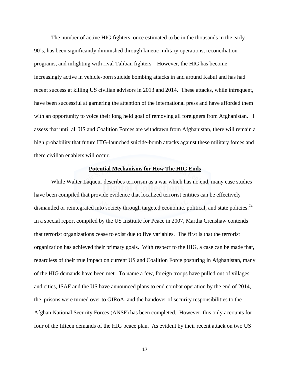The number of active HIG fighters, once estimated to be in the thousands in the early 90's, has been significantly diminished through kinetic military operations, reconciliation programs, and infighting with rival Taliban fighters. However, the HIG has become increasingly active in vehicle-born suicide bombing attacks in and around Kabul and has had recent success at killing US civilian advisors in 2013 and 2014. These attacks, while infrequent, have been successful at garnering the attention of the international press and have afforded them with an opportunity to voice their long held goal of removing all foreigners from Afghanistan. I assess that until all US and Coalition Forces are withdrawn from Afghanistan, there will remain a high probability that future HIG-launched suicide-bomb attacks against these military forces and there civilian enablers will occur.

#### **Potential Mechanisms for How The HIG Ends**

 While Walter Laqueur describes terrorism as a war which has no end, many case studies have been compiled that provide evidence that localized terrorist entities can be effectively dismantled or reintegrated into society through targeted economic, political, and state policies.<sup>74</sup> In a special report compiled by the US Institute for Peace in 2007, Martha Crenshaw contends that terrorist organizations cease to exist due to five variables. The first is that the terrorist organization has achieved their primary goals. With respect to the HIG, a case can be made that, regardless of their true impact on current US and Coalition Force posturing in Afghanistan, many of the HIG demands have been met. To name a few, foreign troops have pulled out of villages and cities, ISAF and the US have announced plans to end combat operation by the end of 2014, the prisons were turned over to GIRoA, and the handover of security responsibilities to the Afghan National Security Forces (ANSF) has been completed. However, this only accounts for four of the fifteen demands of the HIG peace plan. As evident by their recent attack on two US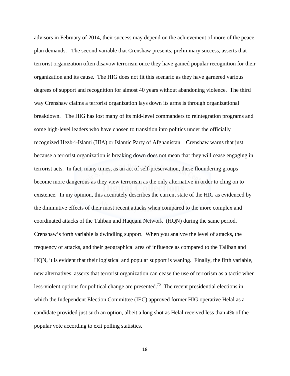advisors in February of 2014, their success may depend on the achievement of more of the peace plan demands. The second variable that Crenshaw presents, preliminary success, asserts that terrorist organization often disavow terrorism once they have gained popular recognition for their organization and its cause. The HIG does not fit this scenario as they have garnered various degrees of support and recognition for almost 40 years without abandoning violence. The third way Crenshaw claims a terrorist organization lays down its arms is through organizational breakdown. The HIG has lost many of its mid-level commanders to reintegration programs and some high-level leaders who have chosen to transition into politics under the officially recognized Hezb-i-Islami (HIA) or Islamic Party of Afghanistan. Crenshaw warns that just because a terrorist organization is breaking down does not mean that they will cease engaging in terrorist acts. In fact, many times, as an act of self-preservation, these floundering groups become more dangerous as they view terrorism as the only alternative in order to cling on to existence. In my opinion, this accurately describes the current state of the HIG as evidenced by the diminutive effects of their most recent attacks when compared to the more complex and coordinated attacks of the Taliban and Haqqani Network (HQN) during the same period. Crenshaw's forth variable is dwindling support. When you analyze the level of attacks, the frequency of attacks, and their geographical area of influence as compared to the Taliban and HQN, it is evident that their logistical and popular support is waning. Finally, the fifth variable, new alternatives, asserts that terrorist organization can cease the use of terrorism as a tactic when less-violent options for political change are presented.<sup>75</sup> The recent presidential elections in which the Independent Election Committee (IEC) approved former HIG operative Helal as a candidate provided just such an option, albeit a long shot as Helal received less than 4% of the popular vote according to exit polling statistics.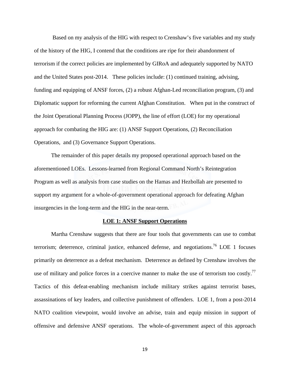Based on my analysis of the HIG with respect to Crenshaw's five variables and my study of the history of the HIG, I contend that the conditions are ripe for their abandonment of terrorism if the correct policies are implemented by GIRoA and adequately supported by NATO and the United States post-2014. These policies include: (1) continued training, advising, funding and equipping of ANSF forces, (2) a robust Afghan-Led reconciliation program, (3) and Diplomatic support for reforming the current Afghan Constitution. When put in the construct of the Joint Operational Planning Process (JOPP), the line of effort (LOE) for my operational approach for combating the HIG are: (1) ANSF Support Operations, (2) Reconciliation Operations, and (3) Governance Support Operations.

 The remainder of this paper details my proposed operational approach based on the aforementioned LOEs. Lessons-learned from Regional Command North's Reintegration Program as well as analysis from case studies on the Hamas and Hezbollah are presented to support my argument for a whole-of-government operational approach for defeating Afghan insurgencies in the long-term and the HIG in the near-term.

#### **LOE 1: ANSF Support Operations**

 Martha Crenshaw suggests that there are four tools that governments can use to combat terrorism; deterrence, criminal justice, enhanced defense, and negotiations.<sup>76</sup> LOE 1 focuses primarily on deterrence as a defeat mechanism. Deterrence as defined by Crenshaw involves the use of military and police forces in a coercive manner to make the use of terrorism too costly.<sup>77</sup> Tactics of this defeat-enabling mechanism include military strikes against terrorist bases, assassinations of key leaders, and collective punishment of offenders. LOE 1, from a post-2014 NATO coalition viewpoint, would involve an advise, train and equip mission in support of offensive and defensive ANSF operations. The whole-of-government aspect of this approach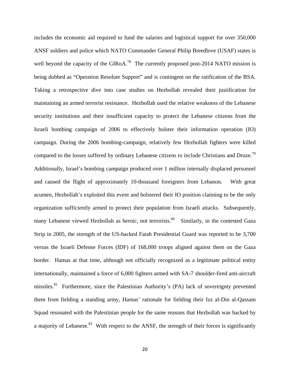includes the economic aid required to fund the salaries and logistical support for over 350,000 ANSF soldiers and police which NATO Commander General Philip Breedlove (USAF) states is well beyond the capacity of the GIRoA.<sup>78</sup> The currently proposed post-2014 NATO mission is being dubbed as "Operation Resolute Support" and is contingent on the ratification of the BSA. Taking a retrospective dive into case studies on Hezbollah revealed their justification for maintaining an armed terrorist resistance. Hezbollah used the relative weakness of the Lebanese security institutions and their insufficient capacity to protect the Lebanese citizens from the Israeli bombing campaign of 2006 to effectively bolster their information operation (IO) campaign. During the 2006 bombing-campaign, relatively few Hezbollah fighters were killed compared to the losses suffered by ordinary Lebanese citizens to include Christians and Druze.<sup>79</sup> Additionally, Israel's bombing campaign produced over 1 million internally displaced personnel and caused the flight of approximately 10-thousand foreigners from Lebanon. With great acumen, Hezbollah's exploited this event and bolstered their IO position claiming to be the only organization sufficiently armed to protect their population from Israeli attacks. Subsequently, many Lebanese viewed Hezbollah as heroic, not terrorists.<sup>80</sup> Similarly, in the contested Gaza Strip in 2005, the strength of the US-backed Fatah Presidential Guard was reported to be 3,700 versus the Israeli Defense Forces (IDF) of 168,000 troops aligned against them on the Gaza border. Hamas at that time, although not officially recognized as a legitimate political entity internationally, maintained a force of 6,000 fighters armed with SA-7 shoulder-fired anti-aircraft missiles.<sup>81</sup> Furthermore, since the Palestinian Authority's (PA) lack of sovereignty prevented them from fielding a standing army, Hamas' rationale for fielding their Izz al-Din al-Qassam Squad resonated with the Palestinian people for the same reasons that Hezbollah was backed by a majority of Lebanese.<sup>82</sup> With respect to the ANSF, the strength of their forces is significantly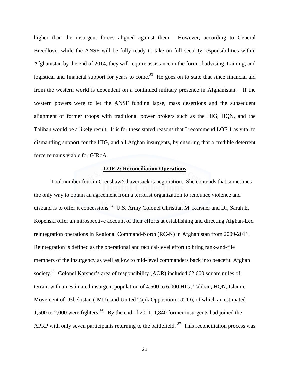higher than the insurgent forces aligned against them. However, according to General Breedlove, while the ANSF will be fully ready to take on full security responsibilities within Afghanistan by the end of 2014, they will require assistance in the form of advising, training, and logistical and financial support for years to come.<sup>83</sup> He goes on to state that since financial aid from the western world is dependent on a continued military presence in Afghanistan. If the western powers were to let the ANSF funding lapse, mass desertions and the subsequent alignment of former troops with traditional power brokers such as the HIG, HQN, and the Taliban would be a likely result. It is for these stated reasons that I recommend LOE 1 as vital to dismantling support for the HIG, and all Afghan insurgents, by ensuring that a credible deterrent force remains viable for GIRoA.

#### **LOE 2: Reconciliation Operations**

 Tool number four in Crenshaw's haversack is negotiation. She contends that sometimes the only way to obtain an agreement from a terrorist organization to renounce violence and disband is to offer it concessions.<sup>84</sup> U.S. Army Colonel Christian M. Karsner and Dr, Sarah E. Kopenski offer an introspective account of their efforts at establishing and directing Afghan-Led reintegration operations in Regional Command-North (RC-N) in Afghanistan from 2009-2011. Reintegration is defined as the operational and tactical-level effort to bring rank-and-file members of the insurgency as well as low to mid-level commanders back into peaceful Afghan society.<sup>85</sup> Colonel Karsner's area of responsibility (AOR) included 62,600 square miles of terrain with an estimated insurgent population of 4,500 to 6,000 HIG, Taliban, HQN, Islamic Movement of Uzbekistan (IMU), and United Tajik Opposition (UTO), of which an estimated 1,500 to 2,000 were fighters.<sup>86</sup> By the end of 2011, 1,840 former insurgents had joined the APRP with only seven participants returning to the battlefield.  $87$  This reconciliation process was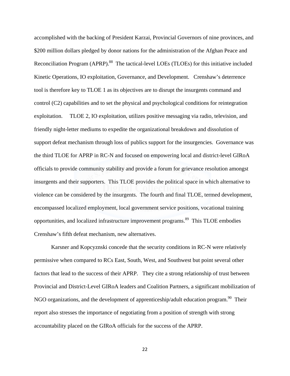accomplished with the backing of President Karzai, Provincial Governors of nine provinces, and \$200 million dollars pledged by donor nations for the administration of the Afghan Peace and Reconciliation Program (APRP).<sup>88</sup> The tactical-level LOEs (TLOEs) for this initiative included Kinetic Operations, IO exploitation, Governance, and Development. Crenshaw's deterrence tool is therefore key to TLOE 1 as its objectives are to disrupt the insurgents command and control (C2) capabilities and to set the physical and psychological conditions for reintegration exploitation. TLOE 2, IO exploitation, utilizes positive messaging via radio, television, and friendly night-letter mediums to expedite the organizational breakdown and dissolution of support defeat mechanism through loss of publics support for the insurgencies. Governance was the third TLOE for APRP in RC-N and focused on empowering local and district-level GIRoA officials to provide community stability and provide a forum for grievance resolution amongst insurgents and their supporters. This TLOE provides the political space in which alternative to violence can be considered by the insurgents. The fourth and final TLOE, termed development, encompassed localized employment, local government service positions, vocational training opportunities, and localized infrastructure improvement programs.<sup>89</sup> This TLOE embodies Crenshaw's fifth defeat mechanism, new alternatives.

 Karsner and Kopcyznski concede that the security conditions in RC-N were relatively permissive when compared to RCs East, South, West, and Southwest but point several other factors that lead to the success of their APRP. They cite a strong relationship of trust between Provincial and District-Level GIRoA leaders and Coalition Partners, a significant mobilization of NGO organizations, and the development of apprenticeship/adult education program.<sup>90</sup> Their report also stresses the importance of negotiating from a position of strength with strong accountability placed on the GIRoA officials for the success of the APRP.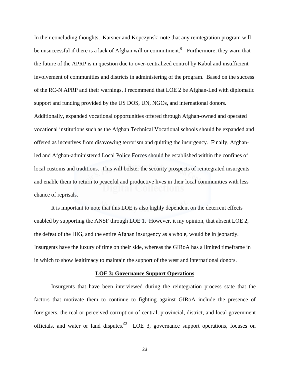In their concluding thoughts, Karsner and Kopczynski note that any reintegration program will be unsuccessful if there is a lack of Afghan will or commitment.<sup>91</sup> Furthermore, they warn that the future of the APRP is in question due to over-centralized control by Kabul and insufficient involvement of communities and districts in administering of the program. Based on the success of the RC-N APRP and their warnings, I recommend that LOE 2 be Afghan-Led with diplomatic support and funding provided by the US DOS, UN, NGOs, and international donors. Additionally, expanded vocational opportunities offered through Afghan-owned and operated vocational institutions such as the Afghan Technical Vocational schools should be expanded and offered as incentives from disavowing terrorism and quitting the insurgency. Finally, Afghanled and Afghan-administered Local Police Forces should be established within the confines of local customs and traditions. This will bolster the security prospects of reintegrated insurgents

and enable them to return to peaceful and productive lives in their local communities with less chance of reprisals.

 It is important to note that this LOE is also highly dependent on the deterrent effects enabled by supporting the ANSF through LOE 1. However, it my opinion, that absent LOE 2, the defeat of the HIG, and the entire Afghan insurgency as a whole, would be in jeopardy. Insurgents have the luxury of time on their side, whereas the GIRoA has a limited timeframe in in which to show legitimacy to maintain the support of the west and international donors.

#### **LOE 3: Governance Support Operations**

 Insurgents that have been interviewed during the reintegration process state that the factors that motivate them to continue to fighting against GIRoA include the presence of foreigners, the real or perceived corruption of central, provincial, district, and local government officials, and water or land disputes.<sup>92</sup> LOE 3, governance support operations, focuses on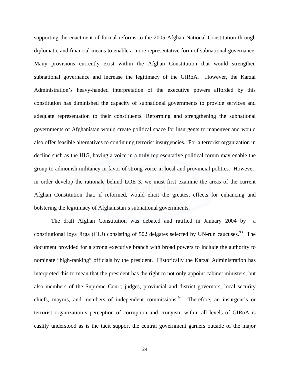supporting the enactment of formal reforms to the 2005 Afghan National Constitution through diplomatic and financial means to enable a more representative form of subnational governance. Many provisions currently exist within the Afghan Constitution that would strengthen subnational governance and increase the legitimacy of the GIRoA. However, the Karzai Administration's heavy-handed interpretation of the executive powers afforded by this constitution has diminished the capacity of subnational governments to provide services and adequate representation to their constituents. Reforming and strengthening the subnational governments of Afghanistan would create political space for insurgents to maneuver and would also offer feasible alternatives to continuing terrorist insurgencies. For a terrorist organization in decline such as the HIG, having a voice in a truly representative political forum may enable the group to admonish militancy in favor of strong voice in local and provincial politics. However, in order develop the rationale behind LOE 3, we must first examine the areas of the current Afghan Constitution that, if reformed, would elicit the greatest effects for enhancing and bolstering the legitimacy of Afghanistan's subnational governments.

 The draft Afghan Constitution was debated and ratified in January 2004 by a constitutional loya Jirga (CLJ) consisting of 502 delgates selected by UN-run caucuses.<sup>93</sup> The document provided for a strong executive branch with broad powers to include the authority to nominate "high-ranking" officials by the president. Historically the Karzai Administration has interpreted this to mean that the president has the right to not only appoint cabinet ministers, but also members of the Supreme Court, judges, provincial and district governors, local security chiefs, mayors, and members of independent commissions.<sup>94</sup> Therefore, an insurgent's or terrorist organization's perception of corruption and cronyism within all levels of GIRoA is easlily understood as is the tacit support the central government garners outside of the major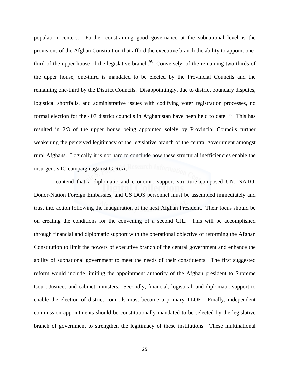population centers. Further constraining good governance at the subnational level is the provisions of the Afghan Constitution that afford the executive branch the ability to appoint onethird of the upper house of the legislative branch.<sup>95</sup> Conversely, of the remaining two-thirds of the upper house, one-third is mandated to be elected by the Provincial Councils and the remaining one-third by the District Councils. Disappointingly, due to district boundary disputes, logistical shortfalls, and administrative issues with codifying voter registration processes, no formal election for the 407 district councils in Afghanistan have been held to date.  $96$  This has resulted in 2/3 of the upper house being appointed solely by Provincial Councils further weakening the perceived legitimacy of the legislative branch of the central government amongst rural Afghans. Logically it is not hard to conclude how these structural inefficiencies enable the insurgent's IO campaign against GIRoA.

 I contend that a diplomatic and economic support structure composed UN, NATO, Donor-Nation Foreign Embassies, and US DOS personnel must be assembled immediately and trust into action following the inauguration of the next Afghan President. Their focus should be on creating the conditions for the convening of a second CJL. This will be accomplished through financial and diplomatic support with the operational objective of reforming the Afghan Constitution to limit the powers of executive branch of the central government and enhance the ability of subnational government to meet the needs of their constituents. The first suggested reform would include limiting the appointment authority of the Afghan president to Supreme Court Justices and cabinet ministers. Secondly, financial, logistical, and diplomatic support to enable the election of district councils must become a primary TLOE. Finally, independent commission appointments should be constitutionally mandated to be selected by the legislative branch of government to strengthen the legitimacy of these institutions. These multinational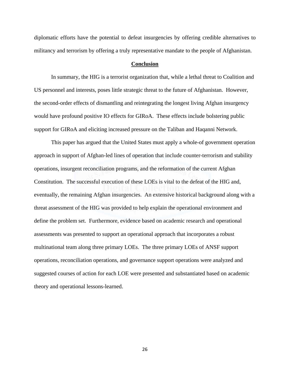diplomatic efforts have the potential to defeat insurgencies by offering credible alternatives to militancy and terrorism by offering a truly representative mandate to the people of Afghanistan.

#### **Conclusion**

In summary, the HIG is a terrorist organization that, while a lethal threat to Coalition and US personnel and interests, poses little strategic threat to the future of Afghanistan. However, the second-order effects of dismantling and reintegrating the longest living Afghan insurgency would have profound positive IO effects for GIRoA. These effects include bolstering public support for GIRoA and eliciting increased pressure on the Taliban and Haqanni Network.

This paper has argued that the United States must apply a whole-of government operation approach in support of Afghan-led lines of operation that include counter-terrorism and stability operations, insurgent reconciliation programs, and the reformation of the current Afghan Constitution. The successful execution of these LOEs is vital to the defeat of the HIG and, eventually, the remaining Afghan insurgencies. An extensive historical background along with a threat assessment of the HIG was provided to help explain the operational environment and define the problem set. Furthermore, evidence based on academic research and operational assessments was presented to support an operational approach that incorporates a robust multinational team along three primary LOEs. The three primary LOEs of ANSF support operations, reconciliation operations, and governance support operations were analyzed and suggested courses of action for each LOE were presented and substantiated based on academic theory and operational lessons-learned.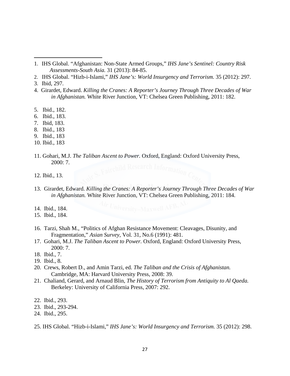- 2. IHS Global. "Hizb-i-Islami," *IHS Jane's: World Insurgency and Terrorism.* 35 (2012): 297.
- 3. Ibid, 297.

- 4. Girardet, Edward. *Killing the Cranes: A Reporter's Journey Through Three Decades of War in Afghanistan.* White River Junction, VT: Chelsea Green Publishing, 2011: 182.
- 5. Ibid., 182.
- 6. Ibid., 183.
- 7. Ibid, 183.
- 8. Ibid., 183
- 9. Ibid., 183
- 10. Ibid., 183
- 11. Gohari, M.J. *The Taliban Ascent to Power.* Oxford, England: Oxford University Press, 2000: 7.
- 12. Ibid., 13.
- 13. Girardet, Edward. *Killing the Cranes: A Reporter's Journey Through Three Decades of War in Afghanistan.* White River Junction, VT: Chelsea Green Publishing, 2011: 184.
- 14. Ibid., 184.
- 15. Ibid., 184.
- 16. Tarzi, Shah M., "Politics of Afghan Resistance Movement: Cleavages, Disunity, and Fragmentation," *Asian Survey*, Vol. 31, No.6 (1991): 481.
- 17. Gohari, M.J. *The Taliban Ascent to Power.* Oxford, England: Oxford University Press, 2000: 7.
- 18. Ibid., 7.
- 19. Ibid., 8.
- 20. Crews, Robert D., and Amin Tarzi, ed. *The Taliban and the Crisis of Afghanistan.*  Cambridge, MA: Harvard University Press, 2008: 39.
- 21. Chaliand, Gerard, and Arnaud Blin, *The History of Terrorism from Antiquity to Al Qaeda.* Berkeley: University of California Press, 2007: 292.
- 22. Ibid., 293.
- 23. Ibid., 293-294.
- 24. Ibid., 295.
- 25. IHS Global. "Hizb-i-Islami," *IHS Jane's: World Insurgency and Terrorism.* 35 (2012): 298.

<sup>1</sup>. IHS Global. "Afghanistan: Non-State Armed Groups," *IHS Jane's Sentinel: Country Risk Assessments-South Asia.* 31 (2013): 84-85.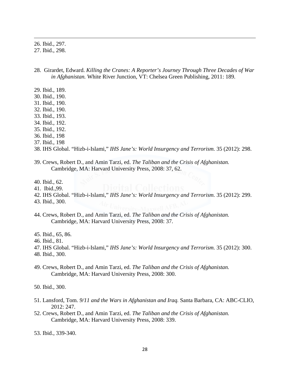26. Ibid., 297.

27. Ibid., 298.

28. Girardet, Edward. *Killing the Cranes: A Reporter's Journey Through Three Decades of War in Afghanistan.* White River Junction, VT: Chelsea Green Publishing, 2011: 189.

<u> 1989 - Johann Stoff, amerikansk politiker (d. 1989)</u>

- 29. Ibid., 189.
- 30. Ibid., 190.
- 31. Ibid., 190.
- 32. Ibid., 190.
- 33. Ibid., 193.
- 34. Ibid., 192.
- 35. Ibid., 192.
- 36. Ibid., 198
- 37. Ibid., 198
- 38. IHS Global. "Hizb-i-Islami," *IHS Jane's: World Insurgency and Terrorism.* 35 (2012): 298.
- 39. Crews, Robert D., and Amin Tarzi, ed. *The Taliban and the Crisis of Afghanistan.*  Cambridge, MA: Harvard University Press, 2008: 37, 62.
- 40. Ibid., 62.
- 41. Ibid.,99.
- 42. IHS Global. "Hizb-i-Islami," *IHS Jane's: World Insurgency and Terrorism.* 35 (2012): 299.
- 43. Ibid., 300.
- 44. Crews, Robert D., and Amin Tarzi, ed. *The Taliban and the Crisis of Afghanistan.*  Cambridge, MA: Harvard University Press, 2008: 37.
- 45. Ibid., 65, 86.
- 46. Ibid., 81.
- 47. IHS Global. "Hizb-i-Islami," *IHS Jane's: World Insurgency and Terrorism.* 35 (2012): 300.
- 48. Ibid., 300.
- 49. Crews, Robert D., and Amin Tarzi, ed. *The Taliban and the Crisis of Afghanistan.*  Cambridge, MA: Harvard University Press, 2008: 300.
- 50. Ibid., 300.
- 51. Lansford, Tom. *9/11 and the Wars in Afghanistan and Iraq.* Santa Barbara, CA: ABC-CLIO, 2012: 247.
- 52. Crews, Robert D., and Amin Tarzi, ed. *The Taliban and the Crisis of Afghanistan.*  Cambridge, MA: Harvard University Press, 2008: 339.
- 53. Ibid., 339-340.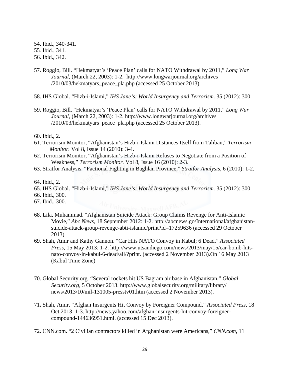54. Ibid., 340-341.

55. Ibid., 341.

- 56. Ibid., 342.
- 57. Roggio, Bill. "Hekmatyar's 'Peace Plan' calls for NATO Withdrawal by 2011," *Long War Journal*, (March 22, 2003): 1-2. http://www.longwarjournal.org/archives /2010/03/hekmatyars\_peace\_pla.php (accessed 25 October 2013).

<u> 1989 - Johann Stoff, amerikansk politiker (d. 1989)</u>

- 58. IHS Global. "Hizb-i-Islami," *IHS Jane's: World Insurgency and Terrorism.* 35 (2012): 300.
- 59. Roggio, Bill. "Hekmatyar's 'Peace Plan' calls for NATO Withdrawal by 2011," *Long War Journal*, (March 22, 2003): 1-2. http://www.longwarjournal.org/archives /2010/03/hekmatyars\_peace\_pla.php (accessed 25 October 2013).

60. Ibid., 2.

- 61. Terrorism Monitor, "Afghanistan's Hizb-i-Islami Distances Itself from Taliban," *Terrorism Monitor.* Vol 8, Issue 14 (2010): 3-4.
- 62. Terrorism Monitor, "Afghanistan's Hizb-i-Islami Refuses to Negotiate from a Position of Weakness," *Terrorism Monitor.* Vol 8, Issue 16 (2010): 2-3.
- 63. Stratfor Analysis. "Factional Fighting in Baghlan Province," *Stratfor Analysis*, 6 (2010): 1-2.
- 64. Ibid., 2.
- 65. IHS Global. "Hizb-i-Islami," *IHS Jane's: World Insurgency and Terrorism.* 35 (2012): 300.
- 66. Ibid., 300.
- 67. Ibid., 300.
- 68. Lila, Muhammad. "Afghanistan Suicide Attack: Group Claims Revenge for Anti-Islamic Movie," *Abc News,* 18 September 2012: 1-2. http://abcnews.go/International/afghanistansuicide-attack-group-revenge-abti-islamic/print?id=17259636 (accessed 29 October 2013)
- 69. Shah, Amir and Kathy Gannon. "Car Hits NATO Convoy in Kabul; 6 Dead," *Associated Press,* 15 May 2013: 1-2. http://www.utsandiego.com/news/2013/may/15/car-bomb-hitsnato-convoy-in-kabul-6-dead/all/?print. (accessed 2 November 2013).On 16 May 2013 (Kabul Time Zone)
- 70. Global Security.org. "Several rockets hit US Bagram air base in Afghanistan," *Global Security.org,* 5 October 2013. http://www.globalsecurity.org/military/library/ news/2013/10/mil-131005-presstv01.htm (accessed 2 November 2013).
- 71**.** Shah, Amir. "Afghan Insurgents Hit Convoy by Foreigner Compound," *Associated Press,* 18 Oct 2013: 1-3. http://news.yahoo.com/afghan-insurgents-hit-convoy-foreignercompound-144636951.html. (accessed 15 Dec 2013).
- 72. CNN.com. "2 Civilian contractors killed in Afghanistan were Americans," *CNN.com,* 11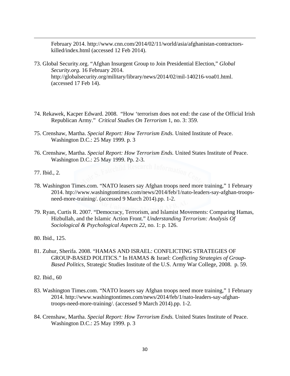February 2014. http://www.cnn.com/2014/02/11/world/asia/afghanistan-contractorskilled/index.html (accessed 12 Feb 2014).

<u> 1989 - Johann Stoff, amerikansk politiker (d. 1989)</u>

- 73. Global Security.org. "Afghan Insurgent Group to Join Presidential Election," *Global Security.org.* 16 February 2014. http://globalsecurity.org/military/library/news/2014/02/mil-140216-voa01.html. (accessed 17 Feb 14).
- 74. Rekawek, Kacper Edward. 2008. "How 'terrorism does not end: the case of the Official Irish Republican Army." *Critical Studies On Terrorism* 1, no. 3: 359.
- 75. Crenshaw, Martha. *Special Report: How Terrorism Ends.* United Institute of Peace. Washington D.C.: 25 May 1999. p. 3
- 76. Crenshaw, Martha. *Special Report: How Terrorism Ends.* United States Institute of Peace. Washington D.C.: 25 May 1999. Pp. 2-3.<br> **East child Research Information**
- 77. Ibid., 2.
- 78. Washington Times.com. "NATO leasers say Afghan troops need more training," 1 February 2014. htp://www.washingtontimes.com/news/2014/feb/1/nato-leaders-say-afghan-troopsneed-more-training/. (accessed 9 March 2014).pp. 1-2.
- 79. Ryan, Curtis R. 2007. "Democracy, Terrorism, and Islamist Movements: Comparing Hamas, Hizbullah, and the Islamic Action Front." *Understanding Terrorism: Analysis Of Sociological & Psychological Aspects 22,* no. 1: p. 126.
- 80. Ibid., 125.
- 81. Zuhur, Sherifa. 2008. "HAMAS AND ISRAEL: CONFLICTING STRATEGIES OF GROUP-BASED POLITICS." In HAMAS & Israel: *Conflicting Strategies of Group-Based Politics,* Strategic Studies Institute of the U.S. Army War College, 2008.p. 59.
- 82. Ibid., 60
- 83. Washington Times.com. "NATO leasers say Afghan troops need more training," 1 February 2014. http://www.washingtontimes.com/news/2014/feb/1/nato-leaders-say-afghantroops-need-more-training/. (accessed 9 March 2014).pp. 1-2.
- 84. Crenshaw, Martha. *Special Report: How Terrorism Ends.* United States Institute of Peace. Washington D.C.: 25 May 1999. p. 3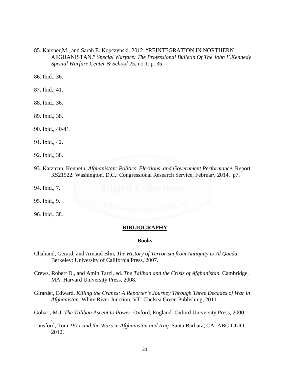85. Karsner,M., and Sarah E. Kopczynski. 2012. "REINTEGRATION IN NORTHERN AFGHANISTAN." *Special Warfare: The Professional Bulletin Of The John F.Kennedy Special Warfare Center & School 25,* no.1: p. 35.

<u> 1989 - Johann Stoff, amerikansk politiker (d. 1989)</u>

86. Ibid., 36.

- 87. Ibid., 41.
- 88. Ibid., 36.
- 89. Ibid., 38.
- 90. Ibid., 40-41.
- 91. Ibid., 42.
- 92. Ibid., 38.
- 93. Katzman, Kenneth, *Afghanistan: Politics, Elections, and Government Performance.* Report RS21922. Washington, D.C.: Congressional Research Service, February 2014. p7.
- 94. Ibid., 7.
- 95. Ibid., 9.
- 96. Ibid., 38.

.

#### **BIBLIOGRAPHY**

#### **Books**

- Chaliand, Gerard, and Arnaud Blin, *The History of Terrorism from Antiquity to Al Qaeda.* Berkeley: University of California Press, 2007.
- Crews, Robert D., and Amin Tarzi, ed. *The Taliban and the Crisis of Afghanistan.* Cambridge, MA: Harvard University Press, 2008.

Girardet, Edward. *Killing the Cranes: A Reporter's Journey Through Three Decades of War in Afghanistan.* White River Junction, VT: Chelsea Green Publishing, 2011.

Gohari, M.J. *The Taliban Ascent to Power.* Oxford, England: Oxford University Press, 2000.

Lansford, Tom. *9/11 and the Wars in Afghanistan and Iraq.* Santa Barbara, CA: ABC-CLIO, 2012.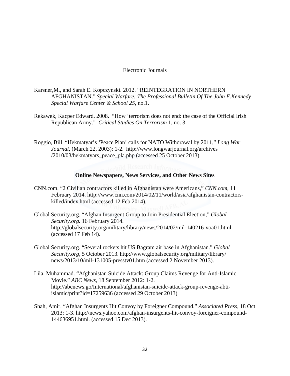#### Electronic Journals

<u> 1989 - Johann Stoff, amerikansk politiker (d. 1989)</u>

Karsner,M., and Sarah E. Kopczynski. 2012. "REINTEGRATION IN NORTHERN AFGHANISTAN." *Special Warfare: The Professional Bulletin Of The John F.Kennedy Special Warfare Center & School 25,* no.1.

Rekawek, Kacper Edward. 2008. "How 'terrorism does not end: the case of the Official Irish Republican Army." *Critical Studies On Terrorism* 1, no. 3.

Roggio, Bill. "Hekmatyar's 'Peace Plan' calls for NATO Withdrawal by 2011," *Long War Journal*, (March 22, 2003): 1-2. http://www.longwarjournal.org/archives /2010/03/hekmatyars\_peace\_pla.php (accessed 25 October 2013).

#### **Online Newspapers, News Services, and Other News Sites**

- CNN.com. "2 Civilian contractors killed in Afghanistan were Americans," *CNN.com,* 11 February 2014. http://www.cnn.com/2014/02/11/world/asia/afghanistan-contractorskilled/index.html (accessed 12 Feb 2014).
- Global Security.org. "Afghan Insurgent Group to Join Presidential Election," *Global Security.org.* 16 February 2014. http://globalsecurity.org/military/library/news/2014/02/mil-140216-voa01.html. (accessed 17 Feb 14).
- Global Security.org. "Several rockets hit US Bagram air base in Afghanistan." *Global Security.org,* 5 October 2013. http://www.globalsecurity.org/military/library/ news/2013/10/mil-131005-presstv01.htm (accessed 2 November 2013).
- Lila, Muhammad. "Afghanistan Suicide Attack: Group Claims Revenge for Anti-Islamic Movie." *ABC News,* 18 September 2012: 1-2. http://abcnews.go/International/afghanistan-suicide-attack-group-revenge-abtiislamic/print?id=17259636 (accessed 29 October 2013)
- Shah, Amir. "Afghan Insurgents Hit Convoy by Foreigner Compound." *Associated Press,* 18 Oct 2013: 1-3. http://news.yahoo.com/afghan-insurgents-hit-convoy-foreigner-compound-144636951.html. (accessed 15 Dec 2013).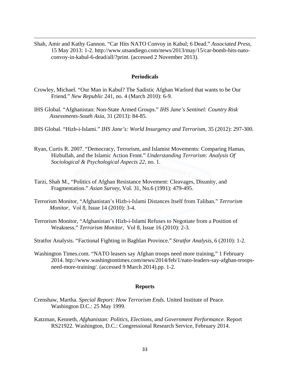Shah, Amir and Kathy Gannon. "Car Hits NATO Convoy in Kabul; 6 Dead." *Associated Press,*  15 May 2013: 1-2. http://www.utsandiego.com/news/2013/may/15/car-bomb-hits-natoconvoy-in-kabul-6-dead/all/?print. (accessed 2 November 2013).

<u> 1989 - Johann Stoff, amerikansk politiker (d. 1989)</u>

#### **Periodicals**

- Crowley, Michael. "Our Man in Kabul? The Sadistic Afghan Warlord that wants to be Our Friend." *New Republic* 241, no. 4 (March 2010): 6-9.
- IHS Global. "Afghanistan: Non-State Armed Groups." *IHS Jane's Sentinel: Country Risk Assessments-South Asia,* 31 (2013): 84-85.
- IHS Global. "Hizb-i-Islami." *IHS Jane's: World Insurgency and Terrorism,* 35 (2012): 297-300.
- Ryan, Curtis R. 2007. "Democracy, Terrorism, and Islamist Movements: Comparing Hamas, Hizbullah, and the Islamic Action Front." *Understanding Terrorism: Analysis Of Sociological & Psychological Aspects 22,* no. 1.
- Tarzi, Shah M., "Politics of Afghan Resistance Movement: Cleavages, Disunity, and Fragmentation." *Asian Survey*, Vol. 31, No.6 (1991): 479-495.
- Terrorism Monitor, "Afghanistan's Hizb-i-Islami Distances Itself from Taliban." *Terrorism Monitor*, Vol 8, Issue 14 (2010): 3-4.
- Terrorism Monitor, "Afghanistan's Hizb-i-Islami Refuses to Negotiate from a Position of Weakness." *Terrorism Monitor,* Vol 8, Issue 16 (2010): 2-3.
- Stratfor Analysis. "Factional Fighting in Baghlan Province." *Stratfor Analysis*, 6 (2010): 1-2.
- Washington Times.com. "NATO leasers say Afghan troops need more training," 1 February 2014. htp://www.washingtontimes.com/news/2014/feb/1/nato-leaders-say-afghan-troopsneed-more-training/. (accessed 9 March 2014).pp. 1-2.

#### **Reports**

- Crenshaw, Martha. *Special Report: How Terrorism Ends.* United Institute of Peace. Washington D.C.: 25 May 1999.
- Katzman, Kenneth, *Afghanistan: Politics, Elections, and Government Performance.* Report RS21922. Washington, D.C.: Congressional Research Service, February 2014.